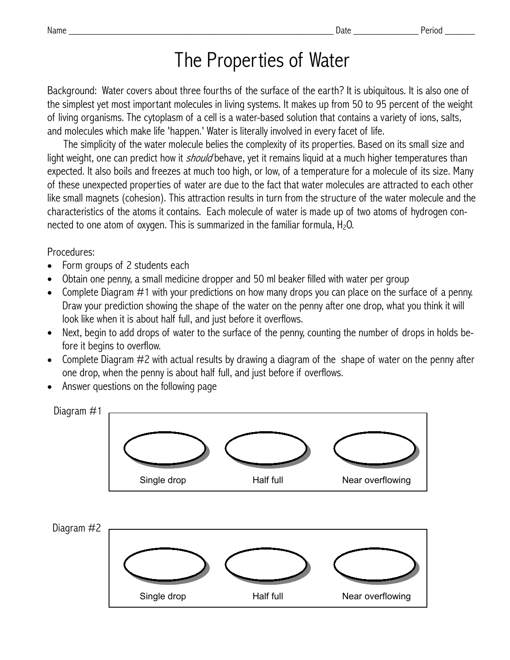## The Properties of Water

Background: Water covers about three fourths of the surface of the earth? It is ubiquitous. It is also one of the simplest yet most important molecules in living systems. It makes up from 50 to 95 percent of the weight of living organisms. The cytoplasm of a cell is a water-based solution that contains a variety of ions, salts, and molecules which make life 'happen.' Water is literally involved in every facet of life.

 The simplicity of the water molecule belies the complexity of its properties. Based on its small size and light weight, one can predict how it *should* behave, yet it remains liquid at a much higher temperatures than expected. It also boils and freezes at much too high, or low, of a temperature for a molecule of its size. Many of these unexpected properties of water are due to the fact that water molecules are attracted to each other like small magnets (cohesion). This attraction results in turn from the structure of the water molecule and the characteristics of the atoms it contains. Each molecule of water is made up of two atoms of hydrogen connected to one atom of oxygen. This is summarized in the familiar formula,  $H_2O$ .

## Procedures:

- Form groups of 2 students each
- Obtain one penny, a small medicine dropper and 50 ml beaker filled with water per group
- Complete Diagram #1 with your predictions on how many drops you can place on the surface of a penny. Draw your prediction showing the shape of the water on the penny after one drop, what you think it will look like when it is about half full, and just before it overflows.
- Next, begin to add drops of water to the surface of the penny, counting the number of drops in holds before it begins to overflow.
- Complete Diagram #2 with actual results by drawing a diagram of the shape of water on the penny after one drop, when the penny is about half full, and just before if overflows.
- Answer questions on the following page